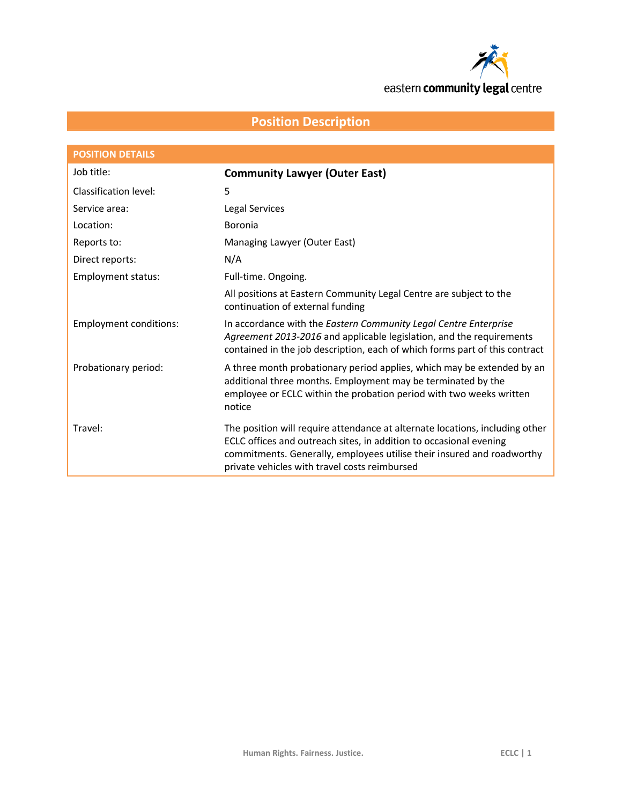

# **Position Description**

| <b>POSITION DETAILS</b>       |                                                                                                                                                                                                                                                                               |
|-------------------------------|-------------------------------------------------------------------------------------------------------------------------------------------------------------------------------------------------------------------------------------------------------------------------------|
| Job title:                    | <b>Community Lawyer (Outer East)</b>                                                                                                                                                                                                                                          |
| Classification level:         | 5                                                                                                                                                                                                                                                                             |
| Service area:                 | <b>Legal Services</b>                                                                                                                                                                                                                                                         |
| Location:                     | Boronia                                                                                                                                                                                                                                                                       |
| Reports to:                   | Managing Lawyer (Outer East)                                                                                                                                                                                                                                                  |
| Direct reports:               | N/A                                                                                                                                                                                                                                                                           |
| <b>Employment status:</b>     | Full-time. Ongoing.                                                                                                                                                                                                                                                           |
|                               | All positions at Eastern Community Legal Centre are subject to the<br>continuation of external funding                                                                                                                                                                        |
| <b>Employment conditions:</b> | In accordance with the Eastern Community Legal Centre Enterprise<br>Agreement 2013-2016 and applicable legislation, and the requirements<br>contained in the job description, each of which forms part of this contract                                                       |
| Probationary period:          | A three month probationary period applies, which may be extended by an<br>additional three months. Employment may be terminated by the<br>employee or ECLC within the probation period with two weeks written<br>notice                                                       |
| Travel:                       | The position will require attendance at alternate locations, including other<br>ECLC offices and outreach sites, in addition to occasional evening<br>commitments. Generally, employees utilise their insured and roadworthy<br>private vehicles with travel costs reimbursed |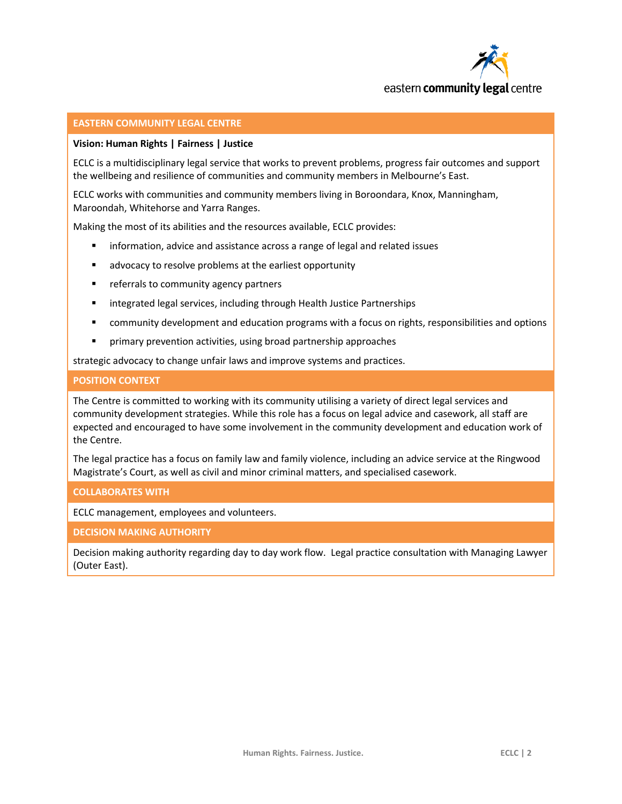

#### **EASTERN COMMUNITY LEGAL CENTRE**

#### **Vision: Human Rights | Fairness | Justice**

ECLC is a multidisciplinary legal service that works to prevent problems, progress fair outcomes and support the wellbeing and resilience of communities and community members in Melbourne's East.

ECLC works with communities and community members living in Boroondara, Knox, Manningham, Maroondah, Whitehorse and Yarra Ranges.

Making the most of its abilities and the resources available, ECLC provides:

- information, advice and assistance across a range of legal and related issues
- **EXTERG** advocacy to resolve problems at the earliest opportunity
- **F** referrals to community agency partners
- integrated legal services, including through Health Justice Partnerships
- **EX and in the velopment and education programs with a focus on rights, responsibilities and options**
- **Part in any prevention activities, using broad partnership approaches**

strategic advocacy to change unfair laws and improve systems and practices.

#### **POSITION CONTEXT**

The Centre is committed to working with its community utilising a variety of direct legal services and community development strategies. While this role has a focus on legal advice and casework, all staff are expected and encouraged to have some involvement in the community development and education work of the Centre.

The legal practice has a focus on family law and family violence, including an advice service at the Ringwood Magistrate's Court, as well as civil and minor criminal matters, and specialised casework.

#### **COLLABORATES WITH**

ECLC management, employees and volunteers.

#### **DECISION MAKING AUTHORITY**

Decision making authority regarding day to day work flow. Legal practice consultation with Managing Lawyer (Outer East).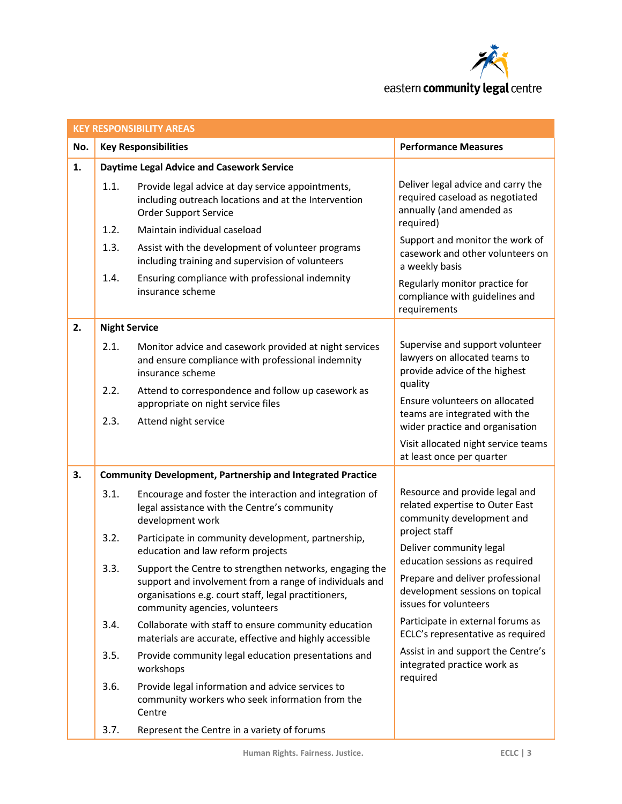

|     | <b>KEY RESPONSIBILITY AREAS</b> |                                                                                                                                                                           |                                                                                                                 |  |  |
|-----|---------------------------------|---------------------------------------------------------------------------------------------------------------------------------------------------------------------------|-----------------------------------------------------------------------------------------------------------------|--|--|
| No. | <b>Key Responsibilities</b>     |                                                                                                                                                                           | <b>Performance Measures</b>                                                                                     |  |  |
| 1.  |                                 | <b>Daytime Legal Advice and Casework Service</b>                                                                                                                          |                                                                                                                 |  |  |
|     | 1.1.<br>1.2.                    | Provide legal advice at day service appointments,<br>including outreach locations and at the Intervention<br><b>Order Support Service</b><br>Maintain individual caseload | Deliver legal advice and carry the<br>required caseload as negotiated<br>annually (and amended as<br>required)  |  |  |
|     | 1.3.                            | Assist with the development of volunteer programs                                                                                                                         | Support and monitor the work of                                                                                 |  |  |
|     |                                 | including training and supervision of volunteers                                                                                                                          | casework and other volunteers on<br>a weekly basis                                                              |  |  |
|     | 1.4.                            | Ensuring compliance with professional indemnity<br>insurance scheme                                                                                                       | Regularly monitor practice for<br>compliance with guidelines and<br>requirements                                |  |  |
| 2.  | <b>Night Service</b>            |                                                                                                                                                                           |                                                                                                                 |  |  |
|     | 2.1.                            | Monitor advice and casework provided at night services<br>and ensure compliance with professional indemnity<br>insurance scheme                                           | Supervise and support volunteer<br>lawyers on allocated teams to<br>provide advice of the highest<br>quality    |  |  |
|     | 2.2.                            | Attend to correspondence and follow up casework as<br>appropriate on night service files                                                                                  | Ensure volunteers on allocated                                                                                  |  |  |
|     | 2.3.                            | Attend night service                                                                                                                                                      | teams are integrated with the<br>wider practice and organisation                                                |  |  |
|     |                                 |                                                                                                                                                                           | Visit allocated night service teams<br>at least once per quarter                                                |  |  |
| 3.  |                                 | <b>Community Development, Partnership and Integrated Practice</b>                                                                                                         |                                                                                                                 |  |  |
|     | 3.1.                            | Encourage and foster the interaction and integration of<br>legal assistance with the Centre's community<br>development work                                               | Resource and provide legal and<br>related expertise to Outer East<br>community development and<br>project staff |  |  |
|     | 3.2.                            | Participate in community development, partnership,<br>education and law reform projects                                                                                   | Deliver community legal                                                                                         |  |  |
|     | 3.3.                            | Support the Centre to strengthen networks, engaging the                                                                                                                   | education sessions as required                                                                                  |  |  |
|     |                                 | support and involvement from a range of individuals and<br>organisations e.g. court staff, legal practitioners,<br>community agencies, volunteers                         | Prepare and deliver professional<br>development sessions on topical<br>issues for volunteers                    |  |  |
|     | 3.4.                            | Collaborate with staff to ensure community education<br>materials are accurate, effective and highly accessible                                                           | Participate in external forums as<br>ECLC's representative as required                                          |  |  |
|     | 3.5.                            | Provide community legal education presentations and<br>workshops                                                                                                          | Assist in and support the Centre's<br>integrated practice work as<br>required                                   |  |  |
|     | 3.6.                            | Provide legal information and advice services to<br>community workers who seek information from the<br>Centre                                                             |                                                                                                                 |  |  |
|     | 3.7.                            | Represent the Centre in a variety of forums                                                                                                                               |                                                                                                                 |  |  |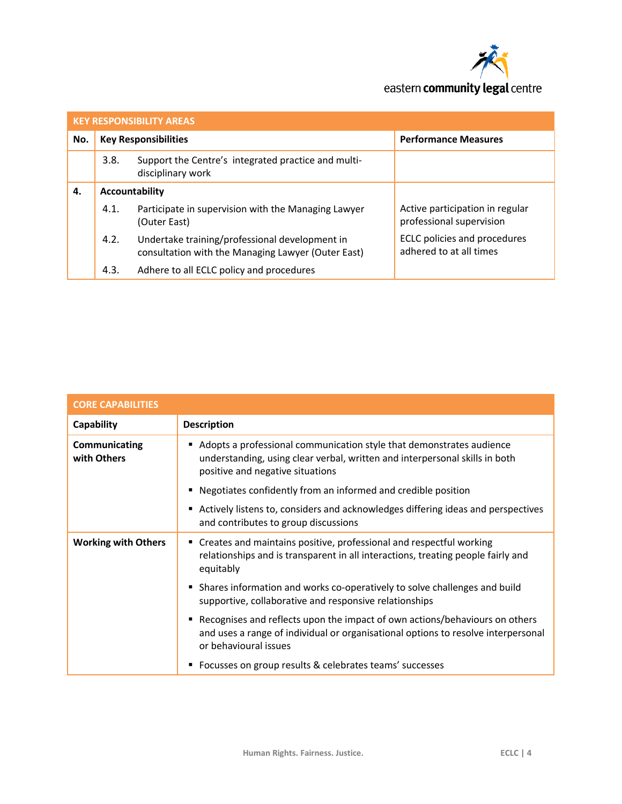

| <b>KEY RESPONSIBILITY AREAS</b> |                             |                                                                                                      |                                                             |  |
|---------------------------------|-----------------------------|------------------------------------------------------------------------------------------------------|-------------------------------------------------------------|--|
| No.                             | <b>Key Responsibilities</b> |                                                                                                      | <b>Performance Measures</b>                                 |  |
|                                 | 3.8.                        | Support the Centre's integrated practice and multi-<br>disciplinary work                             |                                                             |  |
| 4.                              | Accountability              |                                                                                                      |                                                             |  |
|                                 | 4.1.                        | Participate in supervision with the Managing Lawyer<br>(Outer East)                                  | Active participation in regular<br>professional supervision |  |
|                                 | 4.2.                        | Undertake training/professional development in<br>consultation with the Managing Lawyer (Outer East) | ECLC policies and procedures<br>adhered to at all times     |  |
|                                 | 4.3.                        | Adhere to all ECLC policy and procedures                                                             |                                                             |  |

| <b>CORE CAPABILITIES</b>     |                                                                                                                                                                                           |  |
|------------------------------|-------------------------------------------------------------------------------------------------------------------------------------------------------------------------------------------|--|
| Capability                   | <b>Description</b>                                                                                                                                                                        |  |
| Communicating<br>with Others | Adopts a professional communication style that demonstrates audience<br>understanding, using clear verbal, written and interpersonal skills in both<br>positive and negative situations   |  |
|                              | Negotiates confidently from an informed and credible position<br>٠                                                                                                                        |  |
|                              | Actively listens to, considers and acknowledges differing ideas and perspectives<br>٠<br>and contributes to group discussions                                                             |  |
| <b>Working with Others</b>   | • Creates and maintains positive, professional and respectful working<br>relationships and is transparent in all interactions, treating people fairly and<br>equitably                    |  |
|                              | • Shares information and works co-operatively to solve challenges and build<br>supportive, collaborative and responsive relationships                                                     |  |
|                              | Recognises and reflects upon the impact of own actions/behaviours on others<br>and uses a range of individual or organisational options to resolve interpersonal<br>or behavioural issues |  |
|                              | Focusses on group results & celebrates teams' successes                                                                                                                                   |  |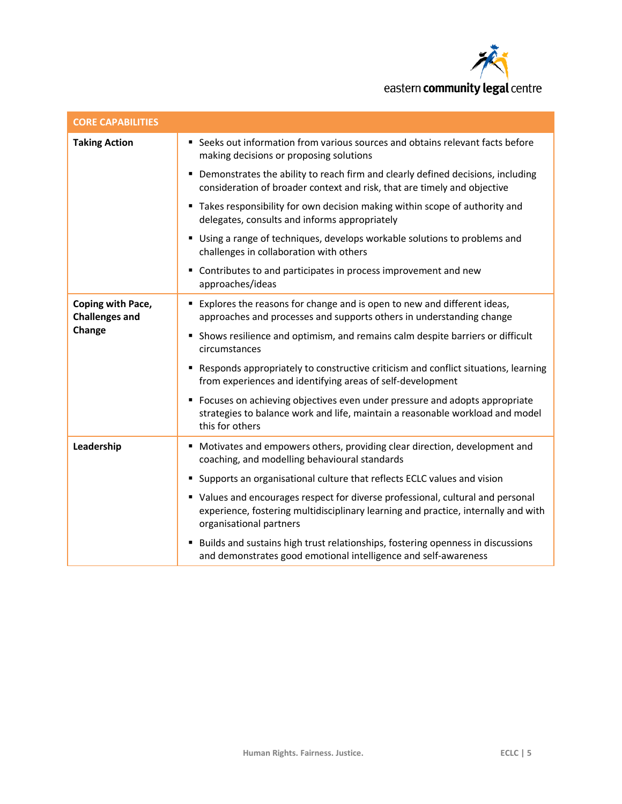

| <b>CORE CAPABILITIES</b>                   |                                                                                                                                                                                                  |  |
|--------------------------------------------|--------------------------------------------------------------------------------------------------------------------------------------------------------------------------------------------------|--|
| <b>Taking Action</b>                       | " Seeks out information from various sources and obtains relevant facts before<br>making decisions or proposing solutions                                                                        |  |
|                                            | • Demonstrates the ability to reach firm and clearly defined decisions, including<br>consideration of broader context and risk, that are timely and objective                                    |  |
|                                            | " Takes responsibility for own decision making within scope of authority and<br>delegates, consults and informs appropriately                                                                    |  |
|                                            | • Using a range of techniques, develops workable solutions to problems and<br>challenges in collaboration with others                                                                            |  |
|                                            | • Contributes to and participates in process improvement and new<br>approaches/ideas                                                                                                             |  |
| Coping with Pace,<br><b>Challenges and</b> | Explores the reasons for change and is open to new and different ideas,<br>approaches and processes and supports others in understanding change                                                  |  |
| Change                                     | • Shows resilience and optimism, and remains calm despite barriers or difficult<br>circumstances                                                                                                 |  |
|                                            | Responds appropriately to constructive criticism and conflict situations, learning<br>from experiences and identifying areas of self-development                                                 |  |
|                                            | • Focuses on achieving objectives even under pressure and adopts appropriate<br>strategies to balance work and life, maintain a reasonable workload and model<br>this for others                 |  |
| Leadership                                 | • Motivates and empowers others, providing clear direction, development and<br>coaching, and modelling behavioural standards                                                                     |  |
|                                            | • Supports an organisational culture that reflects ECLC values and vision                                                                                                                        |  |
|                                            | • Values and encourages respect for diverse professional, cultural and personal<br>experience, fostering multidisciplinary learning and practice, internally and with<br>organisational partners |  |
|                                            | Builds and sustains high trust relationships, fostering openness in discussions<br>٠<br>and demonstrates good emotional intelligence and self-awareness                                          |  |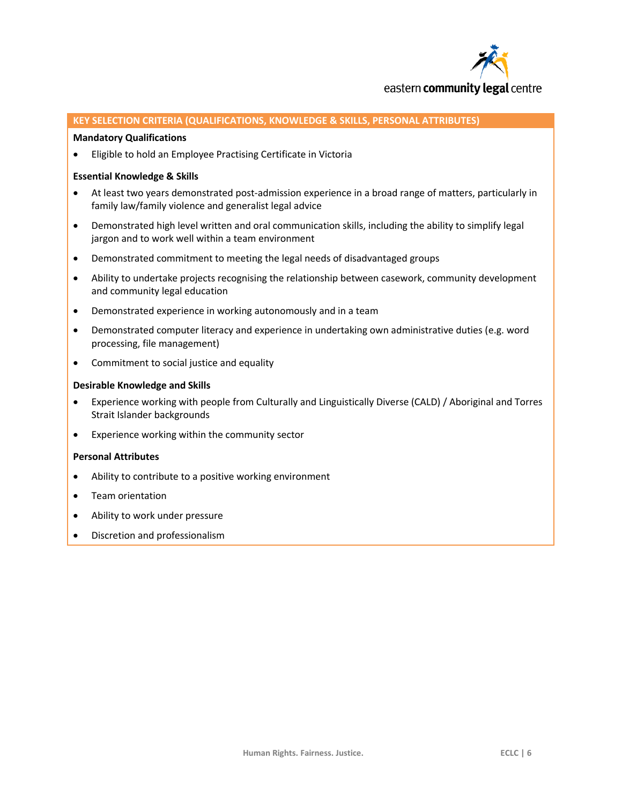

#### **KEY SELECTION CRITERIA (QUALIFICATIONS, KNOWLEDGE & SKILLS, PERSONAL ATTRIBUTES)**

#### **Mandatory Qualifications**

Eligible to hold an Employee Practising Certificate in Victoria

#### **Essential Knowledge & Skills**

- At least two years demonstrated post-admission experience in a broad range of matters, particularly in family law/family violence and generalist legal advice
- Demonstrated high level written and oral communication skills, including the ability to simplify legal jargon and to work well within a team environment
- Demonstrated commitment to meeting the legal needs of disadvantaged groups
- Ability to undertake projects recognising the relationship between casework, community development and community legal education
- Demonstrated experience in working autonomously and in a team
- Demonstrated computer literacy and experience in undertaking own administrative duties (e.g. word processing, file management)
- Commitment to social justice and equality

#### **Desirable Knowledge and Skills**

- Experience working with people from Culturally and Linguistically Diverse (CALD) / Aboriginal and Torres Strait Islander backgrounds
- Experience working within the community sector

#### **Personal Attributes**

- Ability to contribute to a positive working environment
- Team orientation
- Ability to work under pressure
- Discretion and professionalism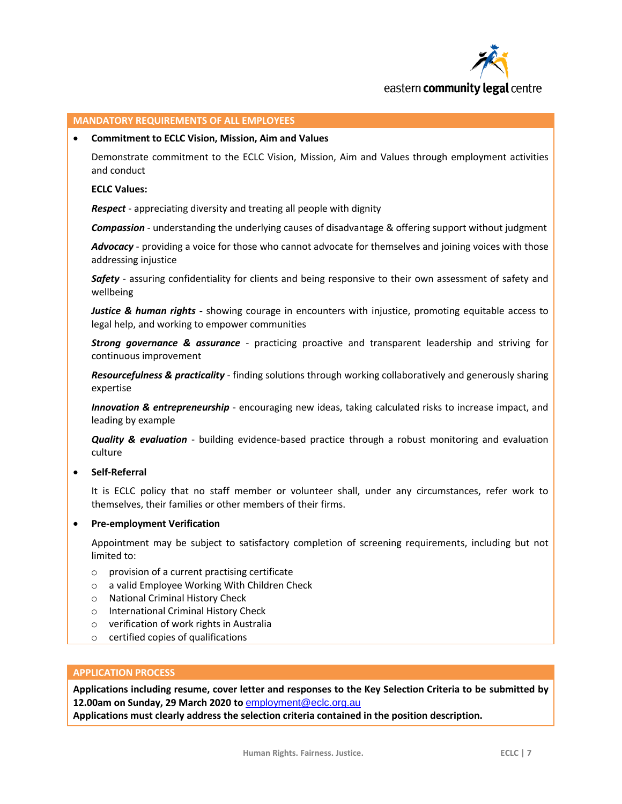

#### **MANDATORY REQUIREMENTS OF ALL EMPLOYEES**

#### **Commitment to ECLC Vision, Mission, Aim and Values**

Demonstrate commitment to the ECLC Vision, Mission, Aim and Values through employment activities and conduct

#### **ECLC Values:**

*Respect* - appreciating diversity and treating all people with dignity

*Compassion* - understanding the underlying causes of disadvantage & offering support without judgment

*Advocacy* - providing a voice for those who cannot advocate for themselves and joining voices with those addressing injustice

*Safety* - assuring confidentiality for clients and being responsive to their own assessment of safety and wellbeing

*Justice & human rights* **-** showing courage in encounters with injustice, promoting equitable access to legal help, and working to empower communities

*Strong governance & assurance* - practicing proactive and transparent leadership and striving for continuous improvement

*Resourcefulness & practicality* - finding solutions through working collaboratively and generously sharing expertise

*Innovation & entrepreneurship* - encouraging new ideas, taking calculated risks to increase impact, and leading by example

*Quality & evaluation* - building evidence-based practice through a robust monitoring and evaluation culture

**Self-Referral**

It is ECLC policy that no staff member or volunteer shall, under any circumstances, refer work to themselves, their families or other members of their firms.

#### **Pre-employment Verification**

Appointment may be subject to satisfactory completion of screening requirements, including but not limited to:

- o provision of a current practising certificate
- o a valid Employee Working With Children Check
- o National Criminal History Check
- o International Criminal History Check
- o verification of work rights in Australia
- o certified copies of qualifications

#### **APPLICATION PROCESS**

**Applications including resume, cover letter and responses to the Key Selection Criteria to be submitted by 12.00am on Sunday, 29 March 2020 to** [employment@eclc.org.au](mailto:employment@eclc.org.au)

**Applications must clearly address the selection criteria contained in the position description.**